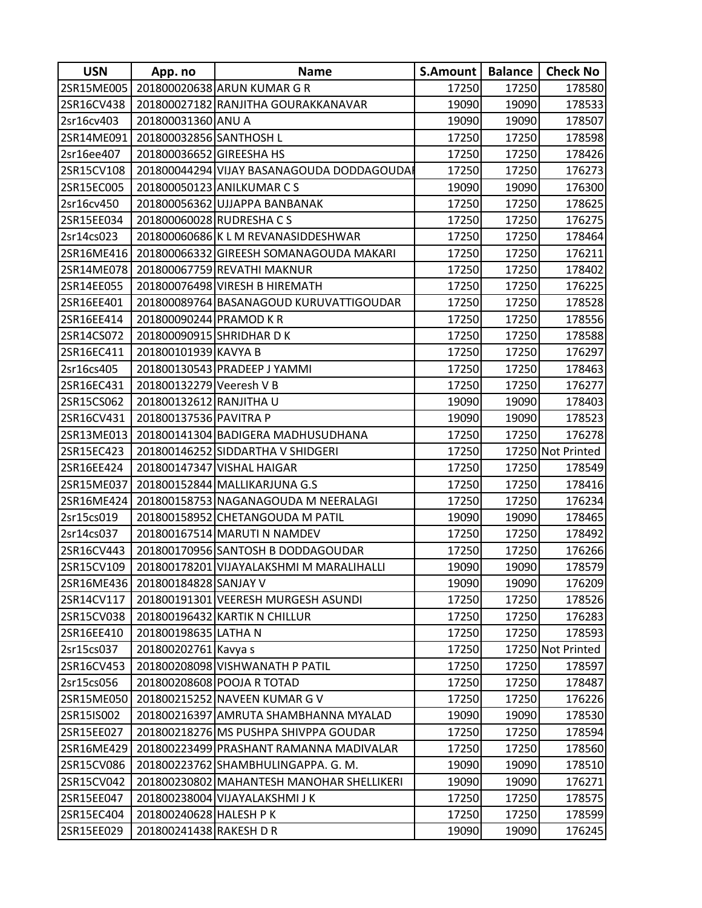| <b>USN</b> | App. no                  | <b>Name</b>                               | S.Amount | <b>Balance</b> | <b>Check No</b>   |
|------------|--------------------------|-------------------------------------------|----------|----------------|-------------------|
| 2SR15ME005 |                          | 201800020638 ARUN KUMAR G R               | 17250    | 17250          | 178580            |
| 2SR16CV438 |                          | 201800027182 RANJITHA GOURAKKANAVAR       | 19090    | 19090          | 178533            |
| 2sr16cv403 | 201800031360 ANU A       |                                           | 19090    | 19090          | 178507            |
| 2SR14ME091 | 201800032856 SANTHOSH L  |                                           | 17250    | 17250          | 178598            |
| 2sr16ee407 | 201800036652 GIREESHA HS |                                           | 17250    | 17250          | 178426            |
| 2SR15CV108 |                          | 201800044294 VIJAY BASANAGOUDA DODDAGOUDA | 17250    | 17250          | 176273            |
| 2SR15EC005 |                          | 201800050123 ANILKUMAR CS                 | 19090    | 19090          | 176300            |
| 2sr16cv450 |                          | 201800056362 UJJAPPA BANBANAK             | 17250    | 17250          | 178625            |
| 2SR15EE034 |                          | 201800060028 RUDRESHA C S                 | 17250    | 17250          | 176275            |
| 2sr14cs023 |                          | 201800060686 K L M REVANASIDDESHWAR       | 17250    | 17250          | 178464            |
| 2SR16ME416 |                          | 201800066332 GIREESH SOMANAGOUDA MAKARI   | 17250    | 17250          | 176211            |
| 2SR14ME078 |                          | 201800067759 REVATHI MAKNUR               | 17250    | 17250          | 178402            |
| 2SR14EE055 |                          | 201800076498 VIRESH B HIREMATH            | 17250    | 17250          | 176225            |
| 2SR16EE401 |                          | 201800089764 BASANAGOUD KURUVATTIGOUDAR   | 17250    | 17250          | 178528            |
| 2SR16EE414 | 201800090244 PRAMOD KR   |                                           | 17250    | 17250          | 178556            |
| 2SR14CS072 |                          | 201800090915 SHRIDHAR D K                 | 17250    | 17250          | 178588            |
| 2SR16EC411 | 201800101939 KAVYA B     |                                           | 17250    | 17250          | 176297            |
| 2sr16cs405 |                          | 201800130543 PRADEEP J YAMMI              | 17250    | 17250          | 178463            |
| 2SR16EC431 | 201800132279 Veeresh V B |                                           | 17250    | 17250          | 176277            |
| 2SR15CS062 | 201800132612 RANJITHA U  |                                           | 19090    | 19090          | 178403            |
| 2SR16CV431 | 201800137536 PAVITRA P   |                                           | 19090    | 19090          | 178523            |
| 2SR13ME013 |                          | 201800141304 BADIGERA MADHUSUDHANA        | 17250    | 17250          | 176278            |
| 2SR15EC423 |                          | 201800146252 SIDDARTHA V SHIDGERI         | 17250    |                | 17250 Not Printed |
| 2SR16EE424 |                          | 201800147347 VISHAL HAIGAR                | 17250    | 17250          | 178549            |
| 2SR15ME037 |                          | 201800152844 MALLIKARJUNA G.S             | 17250    | 17250          | 178416            |
| 2SR16ME424 |                          | 201800158753 NAGANAGOUDA M NEERALAGI      | 17250    | 17250          | 176234            |
| 2sr15cs019 |                          | 201800158952 CHETANGOUDA M PATIL          | 19090    | 19090          | 178465            |
| 2sr14cs037 |                          | 201800167514 MARUTI N NAMDEV              | 17250    | 17250          | 178492            |
| 2SR16CV443 |                          | 201800170956 SANTOSH B DODDAGOUDAR        | 17250    | 17250          | 176266            |
| 2SR15CV109 |                          | 201800178201 VIJAYALAKSHMI M MARALIHALLI  | 19090    | 19090          | 178579            |
| 2SR16ME436 | 201800184828 SANJAY V    |                                           | 19090    | 19090          | 176209            |
| 2SR14CV117 |                          | 201800191301 VEERESH MURGESH ASUNDI       | 17250    | 17250          | 178526            |
| 2SR15CV038 |                          | 201800196432 KARTIK N CHILLUR             | 17250    | 17250          | 176283            |
| 2SR16EE410 | 201800198635 LATHA N     |                                           | 17250    | 17250          | 178593            |
| 2sr15cs037 | 201800202761 Kavya s     |                                           | 17250    |                | 17250 Not Printed |
| 2SR16CV453 |                          | 201800208098 VISHWANATH P PATIL           | 17250    | 17250          | 178597            |
| 2sr15cs056 |                          | 201800208608 POOJA R TOTAD                | 17250    | 17250          | 178487            |
| 2SR15ME050 |                          | 201800215252 NAVEEN KUMAR G V             | 17250    | 17250          | 176226            |
| 2SR15IS002 |                          | 201800216397 AMRUTA SHAMBHANNA MYALAD     | 19090    | 19090          | 178530            |
| 2SR15EE027 |                          | 201800218276 MS PUSHPA SHIVPPA GOUDAR     | 17250    | 17250          | 178594            |
| 2SR16ME429 |                          | 201800223499 PRASHANT RAMANNA MADIVALAR   | 17250    | 17250          | 178560            |
| 2SR15CV086 |                          | 201800223762 SHAMBHULINGAPPA. G. M.       | 19090    | 19090          | 178510            |
| 2SR15CV042 |                          | 201800230802 MAHANTESH MANOHAR SHELLIKERI | 19090    | 19090          | 176271            |
| 2SR15EE047 |                          | 201800238004 VIJAYALAKSHMI J K            | 17250    | 17250          | 178575            |
| 2SR15EC404 | 201800240628 HALESH PK   |                                           | 17250    | 17250          | 178599            |
| 2SR15EE029 | 201800241438 RAKESH D R  |                                           | 19090    | 19090          | 176245            |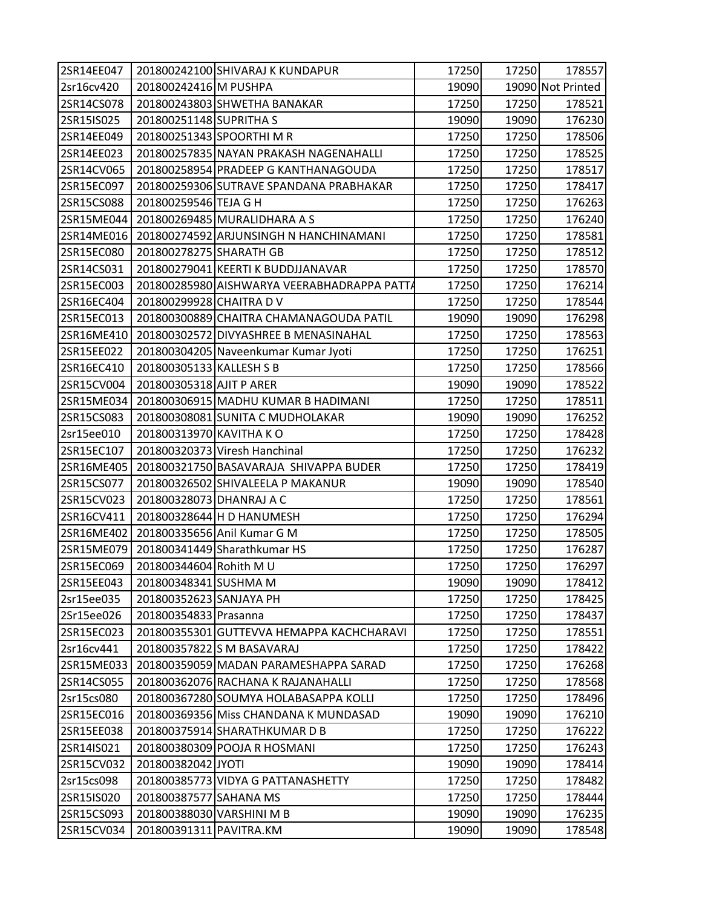| 2SR14EE047 |                           | 201800242100 SHIVARAJ K KUNDAPUR            | 17250 | 17250 | 178557            |
|------------|---------------------------|---------------------------------------------|-------|-------|-------------------|
| 2sr16cv420 | 201800242416 M PUSHPA     |                                             | 19090 |       | 19090 Not Printed |
| 2SR14CS078 |                           | 201800243803 SHWETHA BANAKAR                | 17250 | 17250 | 178521            |
| 2SR15IS025 | 201800251148 SUPRITHA S   |                                             | 19090 | 19090 | 176230            |
| 2SR14EE049 |                           | 201800251343 SPOORTHI M R                   | 17250 | 17250 | 178506            |
| 2SR14EE023 |                           | 201800257835 NAYAN PRAKASH NAGENAHALLI      | 17250 | 17250 | 178525            |
| 2SR14CV065 |                           | 201800258954 PRADEEP G KANTHANAGOUDA        | 17250 | 17250 | 178517            |
| 2SR15EC097 |                           | 201800259306 SUTRAVE SPANDANA PRABHAKAR     | 17250 | 17250 | 178417            |
| 2SR15CS088 | 201800259546 TEJA G H     |                                             | 17250 | 17250 | 176263            |
| 2SR15ME044 |                           | 201800269485 MURALIDHARA A S                | 17250 | 17250 | 176240            |
| 2SR14ME016 |                           | 201800274592 ARJUNSINGH N HANCHINAMANI      | 17250 | 17250 | 178581            |
| 2SR15EC080 | 201800278275 SHARATH GB   |                                             | 17250 | 17250 | 178512            |
| 2SR14CS031 |                           | 201800279041 KEERTI K BUDDJJANAVAR          | 17250 | 17250 | 178570            |
| 2SR15EC003 |                           | 201800285980 AISHWARYA VEERABHADRAPPA PATTA | 17250 | 17250 | 176214            |
| 2SR16EC404 | 201800299928 CHAITRA DV   |                                             | 17250 | 17250 | 178544            |
| 2SR15EC013 |                           | 201800300889 CHAITRA CHAMANAGOUDA PATIL     | 19090 | 19090 | 176298            |
| 2SR16ME410 |                           | 201800302572 DIVYASHREE B MENASINAHAL       | 17250 | 17250 | 178563            |
| 2SR15EE022 |                           | 201800304205 Naveenkumar Kumar Jyoti        | 17250 | 17250 | 176251            |
| 2SR16EC410 | 201800305133 KALLESH S B  |                                             | 17250 | 17250 | 178566            |
| 2SR15CV004 | 201800305318 AJIT P ARER  |                                             | 19090 | 19090 | 178522            |
| 2SR15ME034 |                           | 201800306915 MADHU KUMAR B HADIMANI         | 17250 | 17250 | 178511            |
| 2SR15CS083 |                           | 201800308081 SUNITA C MUDHOLAKAR            | 19090 | 19090 | 176252            |
| 2sr15ee010 | 201800313970 KAVITHA KO   |                                             | 17250 | 17250 | 178428            |
| 2SR15EC107 |                           | 201800320373 Viresh Hanchinal               | 17250 | 17250 | 176232            |
| 2SR16ME405 |                           | 201800321750 BASAVARAJA SHIVAPPA BUDER      | 17250 | 17250 | 178419            |
| 2SR15CS077 |                           | 201800326502 SHIVALEELA P MAKANUR           | 19090 | 19090 | 178540            |
| 2SR15CV023 | 201800328073 DHANRAJ A C  |                                             | 17250 | 17250 | 178561            |
| 2SR16CV411 |                           | 201800328644 H D HANUMESH                   | 17250 | 17250 | 176294            |
| 2SR16ME402 |                           | 201800335656 Anil Kumar G M                 | 17250 | 17250 | 178505            |
| 2SR15ME079 |                           | 201800341449 Sharathkumar HS                | 17250 | 17250 | 176287            |
| 2SR15EC069 | 201800344604 Rohith M U   |                                             | 17250 | 17250 | 176297            |
| 2SR15EE043 | 201800348341 SUSHMA M     |                                             | 19090 | 19090 | 178412            |
| 2sr15ee035 | 201800352623 SANJAYA PH   |                                             | 17250 | 17250 | 178425            |
| 2Sr15ee026 | 201800354833 Prasanna     |                                             | 17250 | 17250 | 178437            |
| 2SR15EC023 |                           | 201800355301 GUTTEVVA HEMAPPA KACHCHARAVI   | 17250 | 17250 | 178551            |
| 2sr16cv441 |                           | 201800357822 S M BASAVARAJ                  | 17250 | 17250 | 178422            |
| 2SR15ME033 |                           | 201800359059 MADAN PARAMESHAPPA SARAD       | 17250 | 17250 | 176268            |
| 2SR14CS055 |                           | 201800362076 RACHANA K RAJANAHALLI          | 17250 | 17250 | 178568            |
| 2sr15cs080 |                           | 201800367280 SOUMYA HOLABASAPPA KOLLI       | 17250 | 17250 | 178496            |
| 2SR15EC016 |                           | 201800369356 Miss CHANDANA K MUNDASAD       | 19090 | 19090 | 176210            |
| 2SR15EE038 |                           | 201800375914 SHARATHKUMAR D B               | 17250 | 17250 | 176222            |
| 2SR14IS021 |                           | 201800380309 POOJA R HOSMANI                | 17250 | 17250 | 176243            |
| 2SR15CV032 | 201800382042 JYOTI        |                                             | 19090 | 19090 | 178414            |
| 2sr15cs098 |                           | 201800385773 VIDYA G PATTANASHETTY          | 17250 | 17250 | 178482            |
| 2SR15IS020 | 201800387577 SAHANA MS    |                                             | 17250 | 17250 | 178444            |
| 2SR15CS093 | 201800388030 VARSHINI M B |                                             | 19090 | 19090 | 176235            |
| 2SR15CV034 | 201800391311 PAVITRA.KM   |                                             | 19090 | 19090 | 178548            |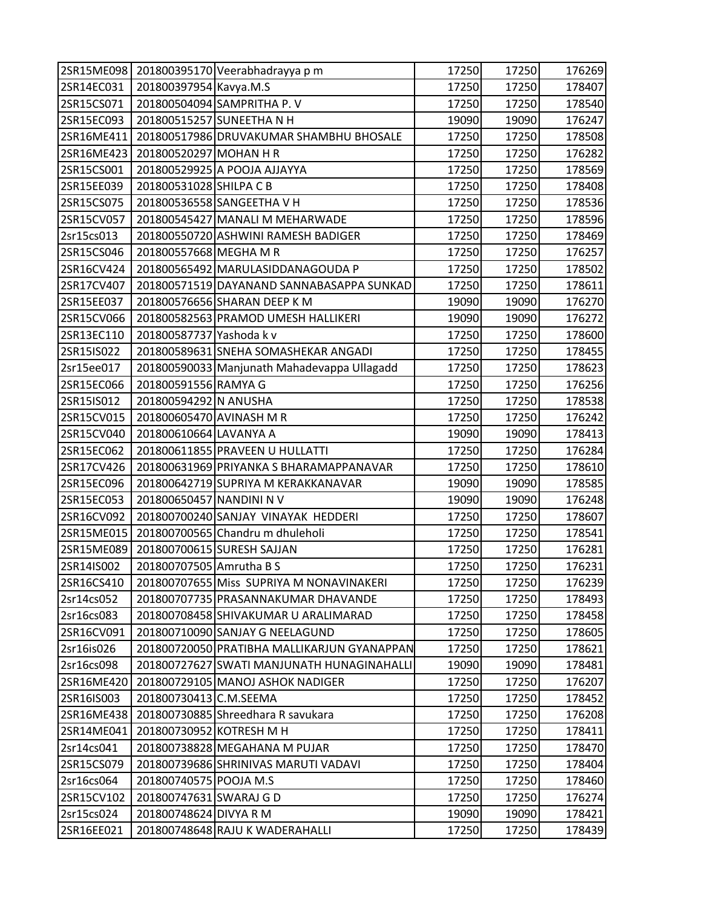| 2SR15ME098 |                          | 201800395170 Veerabhadrayya p m             | 17250 | 17250 | 176269 |
|------------|--------------------------|---------------------------------------------|-------|-------|--------|
| 2SR14EC031 | 201800397954 Kavya.M.S   |                                             | 17250 | 17250 | 178407 |
| 2SR15CS071 |                          | 201800504094 SAMPRITHA P. V                 | 17250 | 17250 | 178540 |
| 2SR15EC093 |                          | 201800515257 SUNEETHA N H                   | 19090 | 19090 | 176247 |
| 2SR16ME411 |                          | 201800517986 DRUVAKUMAR SHAMBHU BHOSALE     | 17250 | 17250 | 178508 |
| 2SR16ME423 | 201800520297 MOHAN H R   |                                             | 17250 | 17250 | 176282 |
| 2SR15CS001 |                          | 201800529925 A POOJA AJJAYYA                | 17250 | 17250 | 178569 |
| 2SR15EE039 | 201800531028 SHILPA C B  |                                             | 17250 | 17250 | 178408 |
| 2SR15CS075 |                          | 201800536558 SANGEETHA V H                  | 17250 | 17250 | 178536 |
| 2SR15CV057 |                          | 201800545427 MANALI M MEHARWADE             | 17250 | 17250 | 178596 |
| 2sr15cs013 |                          | 201800550720 ASHWINI RAMESH BADIGER         | 17250 | 17250 | 178469 |
| 2SR15CS046 | 201800557668 MEGHA M R   |                                             | 17250 | 17250 | 176257 |
| 2SR16CV424 |                          | 201800565492 MARULASIDDANAGOUDA P           | 17250 | 17250 | 178502 |
| 2SR17CV407 |                          | 201800571519 DAYANAND SANNABASAPPA SUNKAD   | 17250 | 17250 | 178611 |
| 2SR15EE037 |                          | 201800576656 SHARAN DEEP K M                | 19090 | 19090 | 176270 |
| 2SR15CV066 |                          | 201800582563 PRAMOD UMESH HALLIKERI         | 19090 | 19090 | 176272 |
| 2SR13EC110 | 201800587737 Yashoda k v |                                             | 17250 | 17250 | 178600 |
| 2SR15IS022 |                          | 201800589631 SNEHA SOMASHEKAR ANGADI        | 17250 | 17250 | 178455 |
| 2sr15ee017 |                          | 201800590033 Manjunath Mahadevappa Ullagadd | 17250 | 17250 | 178623 |
| 2SR15EC066 | 201800591556 RAMYA G     |                                             | 17250 | 17250 | 176256 |
| 2SR15IS012 | 201800594292 N ANUSHA    |                                             | 17250 | 17250 | 178538 |
| 2SR15CV015 | 201800605470 AVINASH M R |                                             | 17250 | 17250 | 176242 |
| 2SR15CV040 | 201800610664 LAVANYA A   |                                             | 19090 | 19090 | 178413 |
| 2SR15EC062 |                          | 201800611855 PRAVEEN U HULLATTI             | 17250 | 17250 | 176284 |
| 2SR17CV426 |                          | 201800631969 PRIYANKA S BHARAMAPPANAVAR     | 17250 | 17250 | 178610 |
| 2SR15EC096 |                          | 201800642719 SUPRIYA M KERAKKANAVAR         | 19090 | 19090 | 178585 |
| 2SR15EC053 | 201800650457 NANDINI N V |                                             | 19090 | 19090 | 176248 |
| 2SR16CV092 |                          | 201800700240 SANJAY VINAYAK HEDDERI         | 17250 | 17250 | 178607 |
| 2SR15ME015 |                          | 201800700565 Chandru m dhuleholi            | 17250 | 17250 | 178541 |
| 2SR15ME089 |                          | 201800700615 SURESH SAJJAN                  | 17250 | 17250 | 176281 |
| 2SR14IS002 | 201800707505 Amrutha B S |                                             | 17250 | 17250 | 176231 |
| 2SR16CS410 |                          | 201800707655 Miss SUPRIYA M NONAVINAKERI    | 17250 | 17250 | 176239 |
| 2sr14cs052 |                          | 201800707735 PRASANNAKUMAR DHAVANDE         | 17250 | 17250 | 178493 |
| 2sr16cs083 |                          | 201800708458 SHIVAKUMAR U ARALIMARAD        | 17250 | 17250 | 178458 |
| 2SR16CV091 |                          | 201800710090 SANJAY G NEELAGUND             | 17250 | 17250 | 178605 |
| 2sr16is026 |                          | 201800720050 PRATIBHA MALLIKARJUN GYANAPPAN | 17250 | 17250 | 178621 |
| 2sr16cs098 |                          | 201800727627 SWATI MANJUNATH HUNAGINAHALLI  | 19090 | 19090 | 178481 |
| 2SR16ME420 |                          | 201800729105 MANOJ ASHOK NADIGER            | 17250 | 17250 | 176207 |
| 2SR16IS003 | 201800730413 C.M.SEEMA   |                                             | 17250 | 17250 | 178452 |
| 2SR16ME438 |                          | 201800730885 Shreedhara R savukara          | 17250 | 17250 | 176208 |
| 2SR14ME041 | 201800730952 KOTRESH M H |                                             | 17250 | 17250 | 178411 |
| 2sr14cs041 |                          | 201800738828 MEGAHANA M PUJAR               | 17250 | 17250 | 178470 |
| 2SR15CS079 |                          | 201800739686 SHRINIVAS MARUTI VADAVI        | 17250 | 17250 | 178404 |
| 2sr16cs064 | 201800740575 POOJA M.S   |                                             | 17250 | 17250 | 178460 |
| 2SR15CV102 | 201800747631 SWARAJ G D  |                                             | 17250 | 17250 | 176274 |
| 2sr15cs024 | 201800748624 DIVYA R M   |                                             | 19090 | 19090 | 178421 |
| 2SR16EE021 |                          | 201800748648 RAJU K WADERAHALLI             | 17250 | 17250 | 178439 |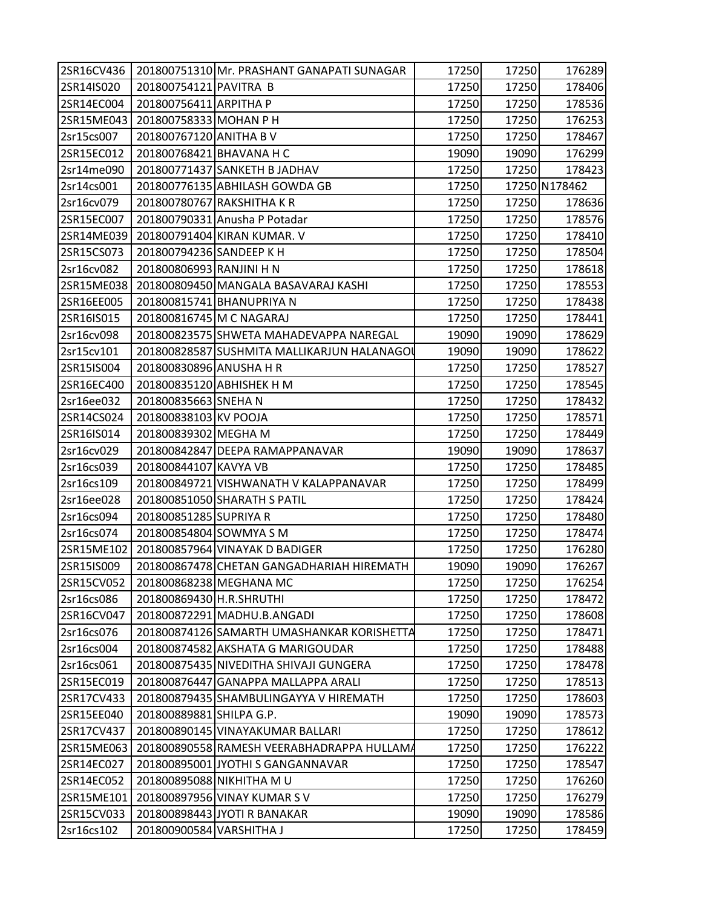| 2SR16CV436 |                          | 201800751310 Mr. PRASHANT GANAPATI SUNAGAR  | 17250 | 17250 | 176289        |
|------------|--------------------------|---------------------------------------------|-------|-------|---------------|
| 2SR14IS020 | 201800754121 PAVITRA B   |                                             | 17250 | 17250 | 178406        |
| 2SR14EC004 | 201800756411 ARPITHA P   |                                             | 17250 | 17250 | 178536        |
| 2SR15ME043 | 201800758333 MOHAN P H   |                                             | 17250 | 17250 | 176253        |
| 2sr15cs007 | 201800767120 ANITHA B V  |                                             | 17250 | 17250 | 178467        |
| 2SR15EC012 | 201800768421 BHAVANA H C |                                             | 19090 | 19090 | 176299        |
| 2sr14me090 |                          | 201800771437 SANKETH B JADHAV               | 17250 | 17250 | 178423        |
| 2sr14cs001 |                          | 201800776135 ABHILASH GOWDA GB              | 17250 |       | 17250 N178462 |
| 2sr16cv079 |                          | 201800780767 RAKSHITHA K R                  | 17250 | 17250 | 178636        |
| 2SR15EC007 |                          | 201800790331 Anusha P Potadar               | 17250 | 17250 | 178576        |
| 2SR14ME039 |                          | 201800791404 KIRAN KUMAR. V                 | 17250 | 17250 | 178410        |
| 2SR15CS073 | 201800794236 SANDEEP K H |                                             | 17250 | 17250 | 178504        |
| 2sr16cv082 | 201800806993 RANJINI H N |                                             | 17250 | 17250 | 178618        |
| 2SR15ME038 |                          | 201800809450 MANGALA BASAVARAJ KASHI        | 17250 | 17250 | 178553        |
| 2SR16EE005 |                          | 201800815741 BHANUPRIYA N                   | 17250 | 17250 | 178438        |
| 2SR16IS015 | 201800816745 M C NAGARAJ |                                             | 17250 | 17250 | 178441        |
| 2sr16cv098 |                          | 201800823575 SHWETA MAHADEVAPPA NAREGAL     | 19090 | 19090 | 178629        |
| 2sr15cv101 |                          | 201800828587 SUSHMITA MALLIKARJUN HALANAGOL | 19090 | 19090 | 178622        |
| 2SR15IS004 | 201800830896 ANUSHA H R  |                                             | 17250 | 17250 | 178527        |
| 2SR16EC400 |                          | 201800835120 ABHISHEK H M                   | 17250 | 17250 | 178545        |
| 2sr16ee032 | 201800835663 SNEHA N     |                                             | 17250 | 17250 | 178432        |
| 2SR14CS024 | 201800838103 KV POOJA    |                                             | 17250 | 17250 | 178571        |
| 2SR16IS014 | 201800839302 MEGHA M     |                                             | 17250 | 17250 | 178449        |
| 2sr16cv029 |                          | 201800842847 DEEPA RAMAPPANAVAR             | 19090 | 19090 | 178637        |
| 2sr16cs039 | 201800844107 KAVYA VB    |                                             | 17250 | 17250 | 178485        |
| 2sr16cs109 |                          | 201800849721 VISHWANATH V KALAPPANAVAR      | 17250 | 17250 | 178499        |
| 2sr16ee028 |                          | 201800851050 SHARATH S PATIL                | 17250 | 17250 | 178424        |
| 2sr16cs094 | 201800851285 SUPRIYA R   |                                             | 17250 | 17250 | 178480        |
| 2sr16cs074 | 201800854804 SOWMYA S M  |                                             | 17250 | 17250 | 178474        |
| 2SR15ME102 |                          | 201800857964 VINAYAK D BADIGER              | 17250 | 17250 | 176280        |
| 2SR15IS009 |                          | 201800867478 CHETAN GANGADHARIAH HIREMATH   | 19090 | 19090 | 176267        |
| 2SR15CV052 |                          | 201800868238 MEGHANA MC                     | 17250 | 17250 | 176254        |
| 2sr16cs086 | 201800869430 H.R.SHRUTHI |                                             | 17250 | 17250 | 178472        |
| 2SR16CV047 |                          | 201800872291 MADHU.B.ANGADI                 | 17250 | 17250 | 178608        |
| 2sr16cs076 |                          | 201800874126 SAMARTH UMASHANKAR KORISHETTA  | 17250 | 17250 | 178471        |
| 2sr16cs004 |                          | 201800874582 AKSHATA G MARIGOUDAR           | 17250 | 17250 | 178488        |
| 2sr16cs061 |                          | 201800875435 NIVEDITHA SHIVAJI GUNGERA      | 17250 | 17250 | 178478        |
| 2SR15EC019 |                          | 201800876447 GANAPPA MALLAPPA ARALI         | 17250 | 17250 | 178513        |
| 2SR17CV433 |                          | 201800879435 SHAMBULINGAYYA V HIREMATH      | 17250 | 17250 | 178603        |
| 2SR15EE040 | 201800889881 SHILPA G.P. |                                             | 19090 | 19090 | 178573        |
| 2SR17CV437 |                          | 201800890145 VINAYAKUMAR BALLARI            | 17250 | 17250 | 178612        |
| 2SR15ME063 |                          | 201800890558 RAMESH VEERABHADRAPPA HULLAMA  | 17250 | 17250 | 176222        |
| 2SR14EC027 |                          | 201800895001 JYOTHI S GANGANNAVAR           | 17250 | 17250 | 178547        |
| 2SR14EC052 |                          | 201800895088 NIKHITHA MU                    | 17250 | 17250 | 176260        |
| 2SR15ME101 |                          | 201800897956 VINAY KUMAR S V                | 17250 | 17250 | 176279        |
| 2SR15CV033 |                          | 201800898443 JYOTI R BANAKAR                | 19090 | 19090 | 178586        |
| 2sr16cs102 | 201800900584 VARSHITHA J |                                             | 17250 | 17250 | 178459        |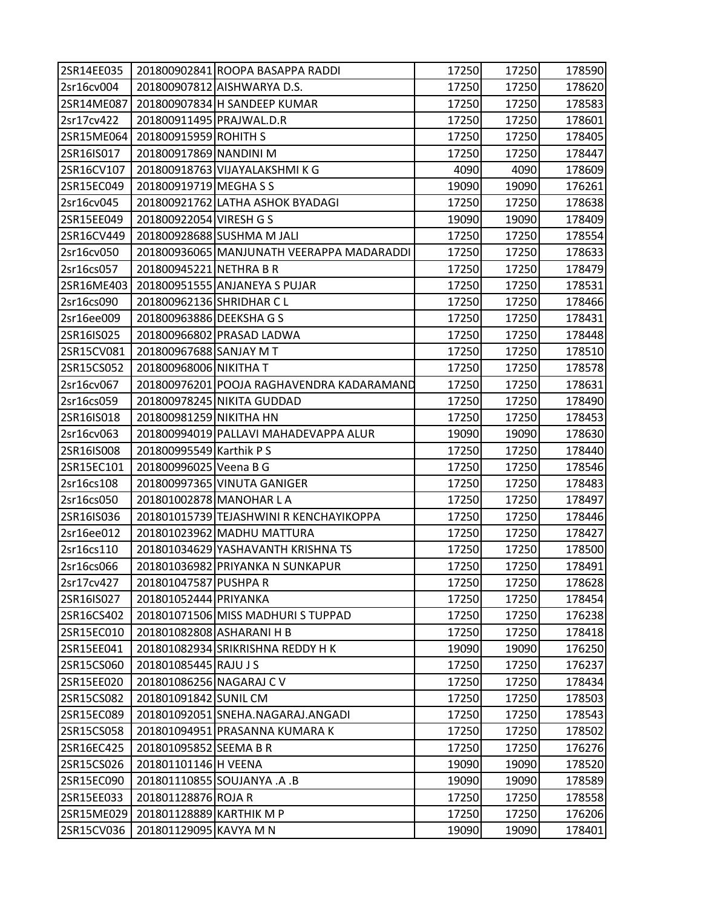| 2SR14EE035 |                          | 201800902841 ROOPA BASAPPA RADDI          | 17250 | 17250 | 178590 |
|------------|--------------------------|-------------------------------------------|-------|-------|--------|
| 2sr16cv004 |                          | 201800907812 AISHWARYA D.S.               | 17250 | 17250 | 178620 |
| 2SR14ME087 |                          | 201800907834 H SANDEEP KUMAR              | 17250 | 17250 | 178583 |
| 2sr17cv422 | 201800911495 PRAJWAL.D.R |                                           | 17250 | 17250 | 178601 |
| 2SR15ME064 | 201800915959 ROHITH S    |                                           | 17250 | 17250 | 178405 |
| 2SR16IS017 | 201800917869 NANDINI M   |                                           | 17250 | 17250 | 178447 |
| 2SR16CV107 |                          | 201800918763 VIJAYALAKSHMI K G            | 4090  | 4090  | 178609 |
| 2SR15EC049 | 201800919719 MEGHA S S   |                                           | 19090 | 19090 | 176261 |
| 2sr16cv045 |                          | 201800921762 LATHA ASHOK BYADAGI          | 17250 | 17250 | 178638 |
| 2SR15EE049 | 201800922054 VIRESH G S  |                                           | 19090 | 19090 | 178409 |
| 2SR16CV449 |                          | 201800928688 SUSHMA M JALI                | 17250 | 17250 | 178554 |
| 2sr16cv050 |                          | 201800936065 MANJUNATH VEERAPPA MADARADDI | 17250 | 17250 | 178633 |
| 2sr16cs057 | 201800945221 NETHRA B R  |                                           | 17250 | 17250 | 178479 |
| 2SR16ME403 |                          | 201800951555 ANJANEYA S PUJAR             | 17250 | 17250 | 178531 |
| 2sr16cs090 | 201800962136 SHRIDHAR CL |                                           | 17250 | 17250 | 178466 |
| 2sr16ee009 | 201800963886 DEEKSHA G S |                                           | 17250 | 17250 | 178431 |
| 2SR16IS025 |                          | 201800966802 PRASAD LADWA                 | 17250 | 17250 | 178448 |
| 2SR15CV081 | 201800967688 SANJAY MT   |                                           | 17250 | 17250 | 178510 |
| 2SR15CS052 | 201800968006 NIKITHA T   |                                           | 17250 | 17250 | 178578 |
| 2sr16cv067 |                          | 201800976201 POOJA RAGHAVENDRA KADARAMAND | 17250 | 17250 | 178631 |
| 2sr16cs059 |                          | 201800978245 NIKITA GUDDAD                | 17250 | 17250 | 178490 |
| 2SR16IS018 | 201800981259 NIKITHA HN  |                                           | 17250 | 17250 | 178453 |
| 2sr16cv063 |                          | 201800994019 PALLAVI MAHADEVAPPA ALUR     | 19090 | 19090 | 178630 |
| 2SR16IS008 | 201800995549 Karthik P S |                                           | 17250 | 17250 | 178440 |
| 2SR15EC101 | 201800996025 Veena B G   |                                           | 17250 | 17250 | 178546 |
| 2sr16cs108 |                          | 201800997365 VINUTA GANIGER               | 17250 | 17250 | 178483 |
| 2sr16cs050 |                          | 201801002878 MANOHAR LA                   | 17250 | 17250 | 178497 |
| 2SR16IS036 |                          | 201801015739 TEJASHWINI R KENCHAYIKOPPA   | 17250 | 17250 | 178446 |
| 2sr16ee012 |                          | 201801023962 MADHU MATTURA                | 17250 | 17250 | 178427 |
| 2sr16cs110 |                          | 201801034629 YASHAVANTH KRISHNA TS        | 17250 | 17250 | 178500 |
| 2sr16cs066 |                          | 201801036982 PRIYANKA N SUNKAPUR          | 17250 | 17250 | 178491 |
| 2sr17cv427 | 201801047587 PUSHPA R    |                                           | 17250 | 17250 | 178628 |
| 2SR16IS027 | 201801052444 PRIYANKA    |                                           | 17250 | 17250 | 178454 |
| 2SR16CS402 |                          | 201801071506 MISS MADHURIS TUPPAD         | 17250 | 17250 | 176238 |
| 2SR15EC010 |                          | 201801082808 ASHARANI H B                 | 17250 | 17250 | 178418 |
| 2SR15EE041 |                          | 201801082934 SRIKRISHNA REDDY H K         | 19090 | 19090 | 176250 |
| 2SR15CS060 | 201801085445 RAJU J S    |                                           | 17250 | 17250 | 176237 |
| 2SR15EE020 | 201801086256 NAGARAJ C V |                                           | 17250 | 17250 | 178434 |
| 2SR15CS082 | 201801091842 SUNIL CM    |                                           | 17250 | 17250 | 178503 |
| 2SR15EC089 |                          | 201801092051 SNEHA.NAGARAJ.ANGADI         | 17250 | 17250 | 178543 |
| 2SR15CS058 |                          | 201801094951 PRASANNA KUMARA K            | 17250 | 17250 | 178502 |
| 2SR16EC425 | 201801095852 SEEMA B R   |                                           | 17250 | 17250 | 176276 |
| 2SR15CS026 | 201801101146 H VEENA     |                                           | 19090 | 19090 | 178520 |
| 2SR15EC090 |                          | 201801110855 SOUJANYA .A .B               | 19090 | 19090 | 178589 |
| 2SR15EE033 | 201801128876 ROJA R      |                                           | 17250 | 17250 | 178558 |
| 2SR15ME029 | 201801128889 KARTHIK M P |                                           | 17250 | 17250 | 176206 |
| 2SR15CV036 | 201801129095 KAVYA M N   |                                           | 19090 | 19090 | 178401 |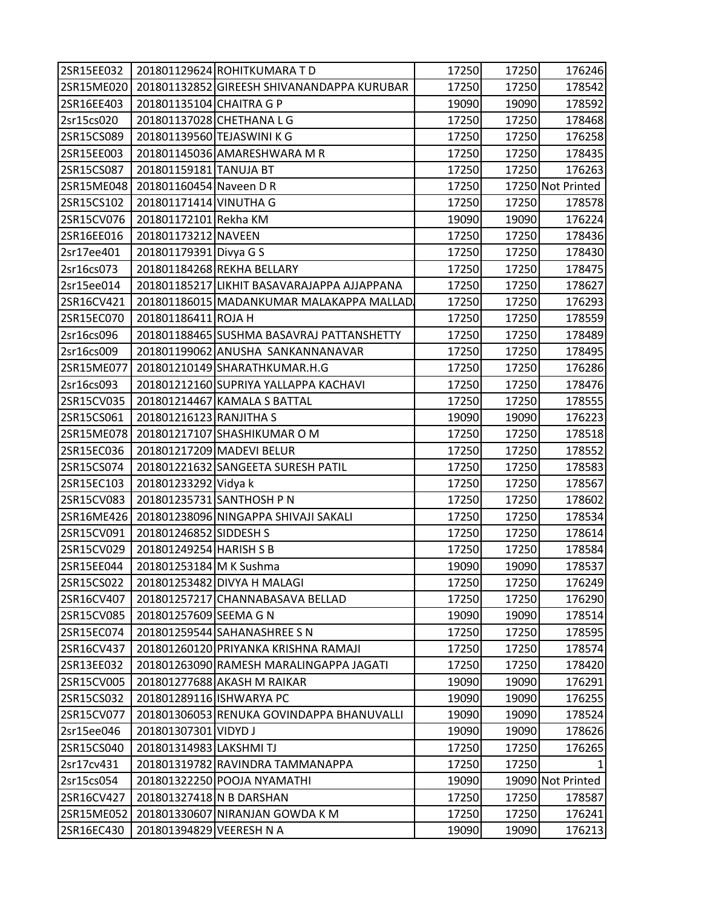| 2SR15EE032 |                            | 201801129624 ROHITKUMARA TD                 | 17250 | 17250 | 176246            |
|------------|----------------------------|---------------------------------------------|-------|-------|-------------------|
| 2SR15ME020 |                            | 201801132852 GIREESH SHIVANANDAPPA KURUBAR  | 17250 | 17250 | 178542            |
| 2SR16EE403 | 201801135104 CHAITRA G P   |                                             | 19090 | 19090 | 178592            |
| 2sr15cs020 |                            | 201801137028 CHETHANA L G                   | 17250 | 17250 | 178468            |
| 2SR15CS089 | 201801139560 TEJASWINI K G |                                             | 17250 | 17250 | 176258            |
| 2SR15EE003 |                            | 201801145036 AMARESHWARA M R                | 17250 | 17250 | 178435            |
| 2SR15CS087 | 201801159181 TANUJA BT     |                                             | 17250 | 17250 | 176263            |
| 2SR15ME048 | 201801160454 Naveen D R    |                                             | 17250 |       | 17250 Not Printed |
| 2SR15CS102 | 201801171414 VINUTHA G     |                                             | 17250 | 17250 | 178578            |
| 2SR15CV076 | 201801172101 Rekha KM      |                                             | 19090 | 19090 | 176224            |
| 2SR16EE016 | 201801173212 NAVEEN        |                                             | 17250 | 17250 | 178436            |
| 2sr17ee401 | 201801179391 Divya G S     |                                             | 17250 | 17250 | 178430            |
| 2sr16cs073 |                            | 201801184268 REKHA BELLARY                  | 17250 | 17250 | 178475            |
| 2sr15ee014 |                            | 201801185217 LIKHIT BASAVARAJAPPA AJJAPPANA | 17250 | 17250 | 178627            |
| 2SR16CV421 |                            | 201801186015 MADANKUMAR MALAKAPPA MALLAD    | 17250 | 17250 | 176293            |
| 2SR15EC070 | 201801186411 ROJA H        |                                             | 17250 | 17250 | 178559            |
| 2sr16cs096 |                            | 201801188465 SUSHMA BASAVRAJ PATTANSHETTY   | 17250 | 17250 | 178489            |
| 2sr16cs009 |                            | 201801199062 ANUSHA SANKANNANAVAR           | 17250 | 17250 | 178495            |
| 2SR15ME077 |                            | 201801210149 SHARATHKUMAR.H.G               | 17250 | 17250 | 176286            |
| 2sr16cs093 |                            | 201801212160 SUPRIYA YALLAPPA KACHAVI       | 17250 | 17250 | 178476            |
| 2SR15CV035 |                            | 201801214467 KAMALA S BATTAL                | 17250 | 17250 | 178555            |
| 2SR15CS061 | 201801216123 RANJITHA S    |                                             | 19090 | 19090 | 176223            |
| 2SR15ME078 |                            | 201801217107 SHASHIKUMAR O M                | 17250 | 17250 | 178518            |
| 2SR15EC036 |                            | 201801217209 MADEVI BELUR                   | 17250 | 17250 | 178552            |
| 2SR15CS074 |                            | 201801221632 SANGEETA SURESH PATIL          | 17250 | 17250 | 178583            |
| 2SR15EC103 | 201801233292 Vidya k       |                                             | 17250 | 17250 | 178567            |
| 2SR15CV083 |                            | 201801235731 SANTHOSH P N                   | 17250 | 17250 | 178602            |
| 2SR16ME426 |                            | 201801238096 NINGAPPA SHIVAJI SAKALI        | 17250 | 17250 | 178534            |
| 2SR15CV091 | 201801246852 SIDDESH S     |                                             | 17250 | 17250 | 178614            |
| 2SR15CV029 | 201801249254 HARISH S B    |                                             | 17250 | 17250 | 178584            |
| 2SR15EE044 | 201801253184 M K Sushma    |                                             | 19090 | 19090 | 178537            |
| 2SR15CS022 |                            | 201801253482 DIVYA H MALAGI                 | 17250 | 17250 | 176249            |
| 2SR16CV407 |                            | 201801257217 CHANNABASAVA BELLAD            | 17250 | 17250 | 176290            |
| 2SR15CV085 | 201801257609 SEEMA G N     |                                             | 19090 | 19090 | 178514            |
| 2SR15EC074 |                            | 201801259544 SAHANASHREE S N                | 17250 | 17250 | 178595            |
| 2SR16CV437 |                            | 201801260120 PRIYANKA KRISHNA RAMAJI        | 17250 | 17250 | 178574            |
| 2SR13EE032 |                            | 201801263090 RAMESH MARALINGAPPA JAGATI     | 17250 | 17250 | 178420            |
| 2SR15CV005 |                            | 201801277688 AKASH M RAIKAR                 | 19090 | 19090 | 176291            |
| 2SR15CS032 | 201801289116 ISHWARYA PC   |                                             | 19090 | 19090 | 176255            |
| 2SR15CV077 |                            | 201801306053 RENUKA GOVINDAPPA BHANUVALLI   | 19090 | 19090 | 178524            |
| 2sr15ee046 | 201801307301 VIDYD J       |                                             | 19090 | 19090 | 178626            |
| 2SR15CS040 | 201801314983 LAKSHMI TJ    |                                             | 17250 | 17250 | 176265            |
| 2sr17cv431 |                            | 201801319782 RAVINDRA TAMMANAPPA            | 17250 | 17250 |                   |
| 2sr15cs054 |                            | 201801322250 POOJA NYAMATHI                 | 19090 |       | 19090 Not Printed |
| 2SR16CV427 | 201801327418 N B DARSHAN   |                                             | 17250 | 17250 | 178587            |
| 2SR15ME052 |                            | 201801330607 NIRANJAN GOWDA K M             | 17250 | 17250 | 176241            |
| 2SR16EC430 | 201801394829 VEERESH N A   |                                             | 19090 | 19090 | 176213            |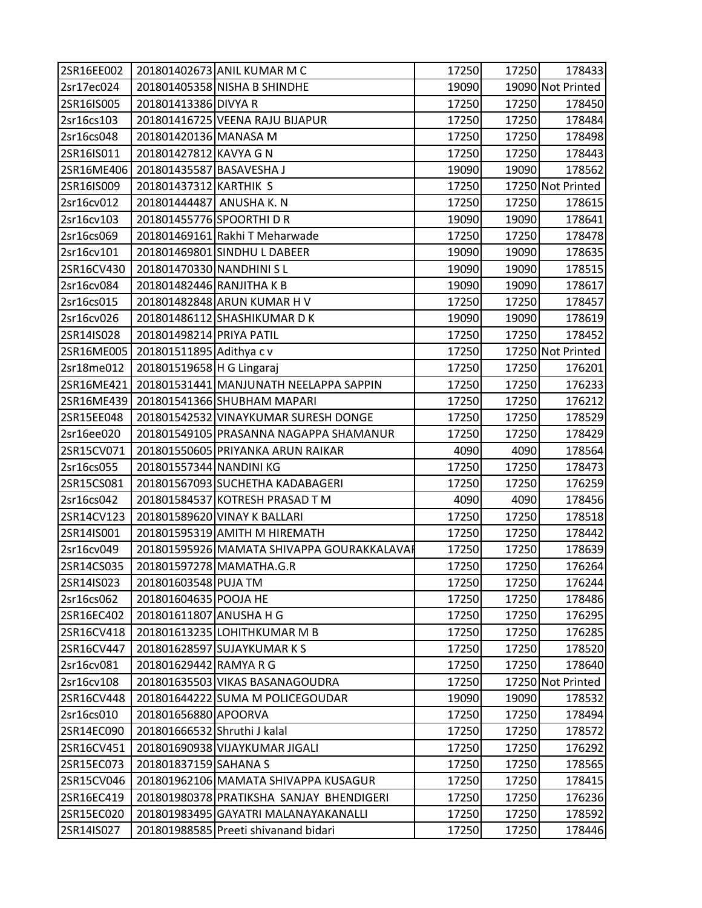| 2SR16EE002 |                              | 201801402673 ANIL KUMAR M C               | 17250 | 17250 | 178433            |
|------------|------------------------------|-------------------------------------------|-------|-------|-------------------|
| 2sr17ec024 |                              | 201801405358 NISHA B SHINDHE              | 19090 |       | 19090 Not Printed |
| 2SR16IS005 | 201801413386 DIVYA R         |                                           | 17250 | 17250 | 178450            |
| 2sr16cs103 |                              | 201801416725 VEENA RAJU BIJAPUR           | 17250 | 17250 | 178484            |
| 2sr16cs048 | 201801420136 MANASA M        |                                           | 17250 | 17250 | 178498            |
| 2SR16IS011 | 201801427812 KAVYA G N       |                                           | 17250 | 17250 | 178443            |
| 2SR16ME406 | 201801435587 BASAVESHA J     |                                           | 19090 | 19090 | 178562            |
| 2SR16IS009 | 201801437312 KARTHIK S       |                                           | 17250 |       | 17250 Not Printed |
| 2sr16cv012 | 201801444487 ANUSHA K. N     |                                           | 17250 | 17250 | 178615            |
| 2sr16cv103 | 201801455776 SPOORTHI DR     |                                           | 19090 | 19090 | 178641            |
| 2sr16cs069 |                              | 201801469161 Rakhi T Meharwade            | 17250 | 17250 | 178478            |
| 2sr16cv101 |                              | 201801469801 SINDHU L DABEER              | 19090 | 19090 | 178635            |
| 2SR16CV430 | 201801470330 NANDHINI SL     |                                           | 19090 | 19090 | 178515            |
| 2sr16cv084 | 201801482446 RANJITHA K B    |                                           | 19090 | 19090 | 178617            |
| 2sr16cs015 |                              | 201801482848 ARUN KUMAR H V               | 17250 | 17250 | 178457            |
| 2sr16cv026 |                              | 201801486112 SHASHIKUMAR DK               | 19090 | 19090 | 178619            |
| 2SR14IS028 | 201801498214 PRIYA PATIL     |                                           | 17250 | 17250 | 178452            |
| 2SR16ME005 | 201801511895 Adithya c v     |                                           | 17250 |       | 17250 Not Printed |
| 2sr18me012 | 201801519658 H G Lingaraj    |                                           | 17250 | 17250 | 176201            |
| 2SR16ME421 |                              | 201801531441 MANJUNATH NEELAPPA SAPPIN    | 17250 | 17250 | 176233            |
| 2SR16ME439 |                              | 201801541366 SHUBHAM MAPARI               | 17250 | 17250 | 176212            |
| 2SR15EE048 |                              | 201801542532 VINAYKUMAR SURESH DONGE      | 17250 | 17250 | 178529            |
| 2sr16ee020 |                              | 201801549105 PRASANNA NAGAPPA SHAMANUR    | 17250 | 17250 | 178429            |
| 2SR15CV071 |                              | 201801550605 PRIYANKA ARUN RAIKAR         | 4090  | 4090  | 178564            |
| 2sr16cs055 | 201801557344 NANDINI KG      |                                           | 17250 | 17250 | 178473            |
| 2SR15CS081 |                              | 201801567093 SUCHETHA KADABAGERI          | 17250 | 17250 | 176259            |
| 2sr16cs042 |                              | 201801584537 KOTRESH PRASAD T M           | 4090  | 4090  | 178456            |
| 2SR14CV123 |                              | 201801589620 VINAY K BALLARI              | 17250 | 17250 | 178518            |
| 2SR14IS001 |                              | 201801595319 AMITH M HIREMATH             | 17250 | 17250 | 178442            |
| 2sr16cv049 |                              | 201801595926 MAMATA SHIVAPPA GOURAKKALAVA | 17250 | 17250 | 178639            |
| 2SR14CS035 |                              | 201801597278 MAMATHA.G.R                  | 17250 | 17250 | 176264            |
| 2SR14IS023 | 201801603548 PUJA TM         |                                           | 17250 | 17250 | 176244            |
| 2sr16cs062 | 201801604635 POOJA HE        |                                           | 17250 | 17250 | 178486            |
| 2SR16EC402 | 201801611807 ANUSHA H G      |                                           | 17250 | 17250 | 176295            |
| 2SR16CV418 |                              | 201801613235 LOHITHKUMAR M B              | 17250 | 17250 | 176285            |
| 2SR16CV447 |                              | 201801628597 SUJAYKUMAR K S               | 17250 | 17250 | 178520            |
| 2sr16cv081 | 201801629442 RAMYA R G       |                                           | 17250 | 17250 | 178640            |
| 2sr16cv108 |                              | 201801635503 VIKAS BASANAGOUDRA           | 17250 |       | 17250 Not Printed |
| 2SR16CV448 |                              | 201801644222 SUMA M POLICEGOUDAR          | 19090 | 19090 | 178532            |
| 2sr16cs010 | 201801656880 APOORVA         |                                           | 17250 | 17250 | 178494            |
| 2SR14EC090 | 201801666532 Shruthi J kalal |                                           | 17250 | 17250 | 178572            |
| 2SR16CV451 |                              | 201801690938 VIJAYKUMAR JIGALI            | 17250 | 17250 | 176292            |
| 2SR15EC073 | 201801837159 SAHANA S        |                                           | 17250 | 17250 | 178565            |
| 2SR15CV046 |                              | 201801962106 MAMATA SHIVAPPA KUSAGUR      | 17250 | 17250 | 178415            |
| 2SR16EC419 |                              | 201801980378 PRATIKSHA SANJAY BHENDIGERI  | 17250 | 17250 | 176236            |
| 2SR15EC020 |                              | 201801983495 GAYATRI MALANAYAKANALLI      | 17250 | 17250 | 178592            |
| 2SR14IS027 |                              | 201801988585 Preeti shivanand bidari      | 17250 | 17250 | 178446            |